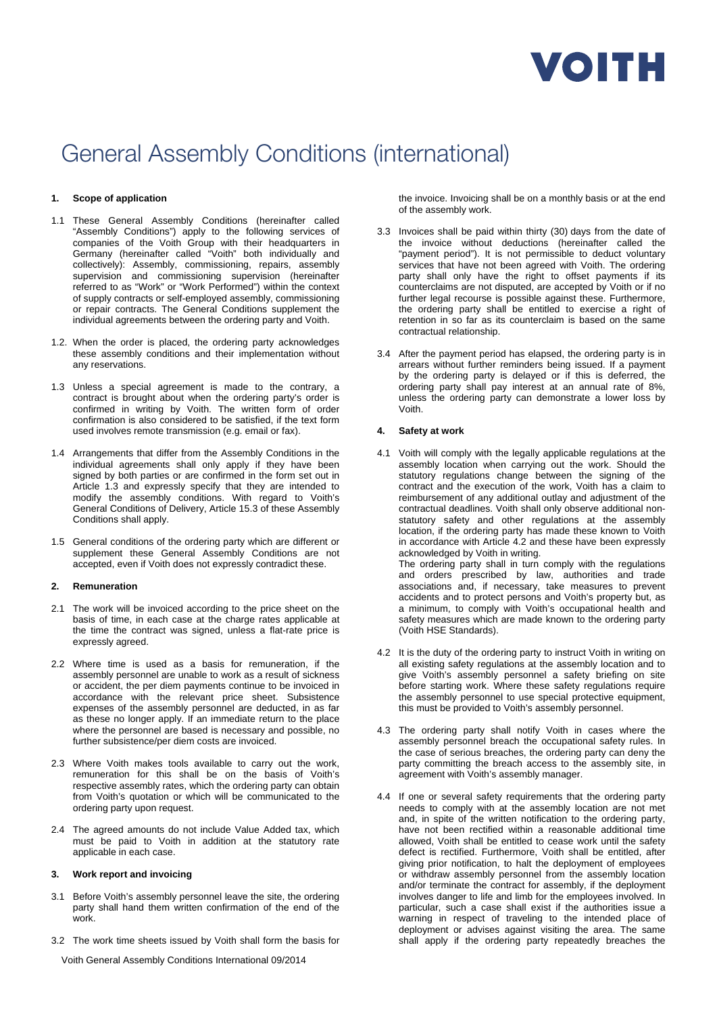

# General Assembly Conditions (international)

# **1. Scope of application**

- 1.1 These General Assembly Conditions (hereinafter called "Assembly Conditions") apply to the following services of companies of the Voith Group with their headquarters in Germany (hereinafter called "Voith" both individually and collectively): Assembly, commissioning, repairs, assembly supervision and commissioning supervision (hereinafter referred to as "Work" or "Work Performed") within the context of supply contracts or self-employed assembly, commissioning or repair contracts. The General Conditions supplement the individual agreements between the ordering party and Voith.
- 1.2. When the order is placed, the ordering party acknowledges these assembly conditions and their implementation without any reservations.
- 1.3 Unless a special agreement is made to the contrary, a contract is brought about when the ordering party's order is confirmed in writing by Voith. The written form of order confirmation is also considered to be satisfied, if the text form used involves remote transmission (e.g. email or fax).
- 1.4 Arrangements that differ from the Assembly Conditions in the individual agreements shall only apply if they have been signed by both parties or are confirmed in the form set out in Article 1.3 and expressly specify that they are intended to modify the assembly conditions. With regard to Voith's General Conditions of Delivery, Article 15.3 of these Assembly Conditions shall apply.
- 1.5 General conditions of the ordering party which are different or supplement these General Assembly Conditions are not accepted, even if Voith does not expressly contradict these.

#### **2. Remuneration**

- 2.1 The work will be invoiced according to the price sheet on the basis of time, in each case at the charge rates applicable at the time the contract was signed, unless a flat-rate price is expressly agreed.
- 2.2 Where time is used as a basis for remuneration, if the assembly personnel are unable to work as a result of sickness or accident, the per diem payments continue to be invoiced in accordance with the relevant price sheet. Subsistence expenses of the assembly personnel are deducted, in as far as these no longer apply. If an immediate return to the place where the personnel are based is necessary and possible, no further subsistence/per diem costs are invoiced.
- 2.3 Where Voith makes tools available to carry out the work, remuneration for this shall be on the basis of Voith's respective assembly rates, which the ordering party can obtain from Voith's quotation or which will be communicated to the ordering party upon request.
- 2.4 The agreed amounts do not include Value Added tax, which must be paid to Voith in addition at the statutory rate applicable in each case.

#### **3. Work report and invoicing**

- 3.1 Before Voith's assembly personnel leave the site, the ordering party shall hand them written confirmation of the end of the work.
- 3.2 The work time sheets issued by Voith shall form the basis for

the invoice. Invoicing shall be on a monthly basis or at the end of the assembly work.

- 3.3 Invoices shall be paid within thirty (30) days from the date of the invoice without deductions (hereinafter called the "payment period"). It is not permissible to deduct voluntary services that have not been agreed with Voith. The ordering party shall only have the right to offset payments if its counterclaims are not disputed, are accepted by Voith or if no further legal recourse is possible against these. Furthermore, the ordering party shall be entitled to exercise a right of retention in so far as its counterclaim is based on the same contractual relationship.
- 3.4 After the payment period has elapsed, the ordering party is in arrears without further reminders being issued. If a payment by the ordering party is delayed or if this is deferred, the ordering party shall pay interest at an annual rate of 8%, unless the ordering party can demonstrate a lower loss by Voith.

#### **4. Safety at work**

- 4.1 Voith will comply with the legally applicable regulations at the assembly location when carrying out the work. Should the statutory regulations change between the signing of the contract and the execution of the work, Voith has a claim to reimbursement of any additional outlay and adjustment of the contractual deadlines. Voith shall only observe additional nonstatutory safety and other regulations at the assembly location, if the ordering party has made these known to Voith in accordance with Article 4.2 and these have been expressly acknowledged by Voith in writing. The ordering party shall in turn comply with the regulations and orders prescribed by law, authorities and trade associations and, if necessary, take measures to prevent accidents and to protect persons and Voith's property but, as a minimum, to comply with Voith's occupational health and safety measures which are made known to the ordering party (Voith HSE Standards).
- 4.2 It is the duty of the ordering party to instruct Voith in writing on all existing safety regulations at the assembly location and to give Voith's assembly personnel a safety briefing on site before starting work. Where these safety regulations require the assembly personnel to use special protective equipment, this must be provided to Voith's assembly personnel.
- 4.3 The ordering party shall notify Voith in cases where the assembly personnel breach the occupational safety rules. In the case of serious breaches, the ordering party can deny the party committing the breach access to the assembly site, in agreement with Voith's assembly manager.
- 4.4 If one or several safety requirements that the ordering party needs to comply with at the assembly location are not met and, in spite of the written notification to the ordering party, have not been rectified within a reasonable additional time allowed, Voith shall be entitled to cease work until the safety defect is rectified. Furthermore, Voith shall be entitled, after giving prior notification, to halt the deployment of employees or withdraw assembly personnel from the assembly location and/or terminate the contract for assembly, if the deployment involves danger to life and limb for the employees involved. In particular, such a case shall exist if the authorities issue a warning in respect of traveling to the intended place of deployment or advises against visiting the area. The same shall apply if the ordering party repeatedly breaches the

Voith General Assembly Conditions International 09/2014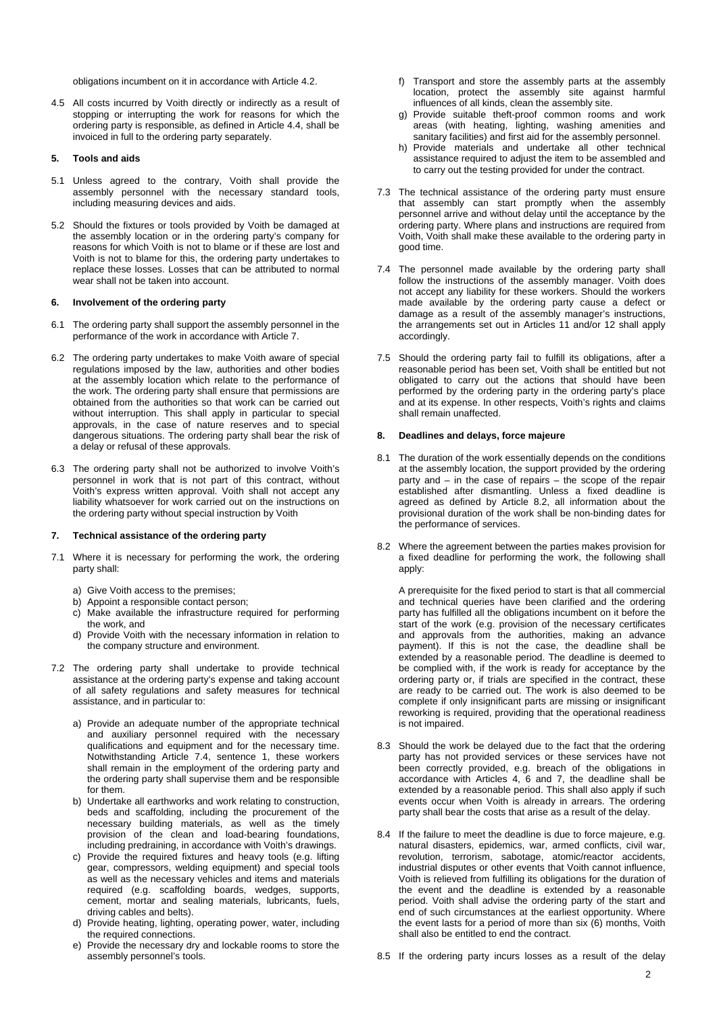obligations incumbent on it in accordance with Article 4.2.

4.5 All costs incurred by Voith directly or indirectly as a result of stopping or interrupting the work for reasons for which the ordering party is responsible, as defined in Article 4.4, shall be invoiced in full to the ordering party separately.

#### **5. Tools and aids**

- 5.1 Unless agreed to the contrary, Voith shall provide the assembly personnel with the necessary standard tools, including measuring devices and aids.
- 5.2 Should the fixtures or tools provided by Voith be damaged at the assembly location or in the ordering party's company for reasons for which Voith is not to blame or if these are lost and Voith is not to blame for this, the ordering party undertakes to replace these losses. Losses that can be attributed to normal wear shall not be taken into account.

# **6. Involvement of the ordering party**

- 6.1 The ordering party shall support the assembly personnel in the performance of the work in accordance with Article 7.
- 6.2 The ordering party undertakes to make Voith aware of special regulations imposed by the law, authorities and other bodies at the assembly location which relate to the performance of the work. The ordering party shall ensure that permissions are obtained from the authorities so that work can be carried out without interruption. This shall apply in particular to special approvals, in the case of nature reserves and to special dangerous situations. The ordering party shall bear the risk of a delay or refusal of these approvals.
- 6.3 The ordering party shall not be authorized to involve Voith's personnel in work that is not part of this contract, without Voith's express written approval. Voith shall not accept any liability whatsoever for work carried out on the instructions on the ordering party without special instruction by Voith

#### **7. Technical assistance of the ordering party**

- 7.1 Where it is necessary for performing the work, the ordering party shall:
	- a) Give Voith access to the premises;
	- b) Appoint a responsible contact person;
	- c) Make available the infrastructure required for performing the work, and
	- d) Provide Voith with the necessary information in relation to the company structure and environment.
- 7.2 The ordering party shall undertake to provide technical assistance at the ordering party's expense and taking account of all safety regulations and safety measures for technical assistance, and in particular to:
	- a) Provide an adequate number of the appropriate technical and auxiliary personnel required with the necessary qualifications and equipment and for the necessary time. Notwithstanding Article 7.4, sentence 1, these workers shall remain in the employment of the ordering party and the ordering party shall supervise them and be responsible for them.
	- b) Undertake all earthworks and work relating to construction, beds and scaffolding, including the procurement of the necessary building materials, as well as the timely provision of the clean and load-bearing foundations, including predraining, in accordance with Voith's drawings.
	- c) Provide the required fixtures and heavy tools (e.g. lifting gear, compressors, welding equipment) and special tools as well as the necessary vehicles and items and materials required (e.g. scaffolding boards, wedges, supports, cement, mortar and sealing materials, lubricants, fuels, driving cables and belts).
	- d) Provide heating, lighting, operating power, water, including the required connections.
	- e) Provide the necessary dry and lockable rooms to store the assembly personnel's tools.
- f) Transport and store the assembly parts at the assembly location, protect the assembly site against harmful influences of all kinds, clean the assembly site.
- g) Provide suitable theft-proof common rooms and work areas (with heating, lighting, washing amenities and sanitary facilities) and first aid for the assembly personnel.
- h) Provide materials and undertake all other technical assistance required to adjust the item to be assembled and to carry out the testing provided for under the contract.
- 7.3 The technical assistance of the ordering party must ensure that assembly can start promptly when the assembly personnel arrive and without delay until the acceptance by the ordering party. Where plans and instructions are required from Voith, Voith shall make these available to the ordering party in good time.
- 7.4 The personnel made available by the ordering party shall follow the instructions of the assembly manager. Voith does not accept any liability for these workers. Should the workers made available by the ordering party cause a defect or damage as a result of the assembly manager's instructions, the arrangements set out in Articles 11 and/or 12 shall apply accordingly.
- 7.5 Should the ordering party fail to fulfill its obligations, after a reasonable period has been set, Voith shall be entitled but not obligated to carry out the actions that should have been performed by the ordering party in the ordering party's place and at its expense. In other respects, Voith's rights and claims shall remain unaffected.

#### **8. Deadlines and delays, force majeure**

- 8.1 The duration of the work essentially depends on the conditions at the assembly location, the support provided by the ordering party and – in the case of repairs – the scope of the repair established after dismantling. Unless a fixed deadline is agreed as defined by Article 8.2, all information about the provisional duration of the work shall be non-binding dates for the performance of services.
- 8.2 Where the agreement between the parties makes provision for a fixed deadline for performing the work, the following shall apply:

 A prerequisite for the fixed period to start is that all commercial and technical queries have been clarified and the ordering party has fulfilled all the obligations incumbent on it before the start of the work (e.g. provision of the necessary certificates and approvals from the authorities, making an advance payment). If this is not the case, the deadline shall be extended by a reasonable period. The deadline is deemed to be complied with, if the work is ready for acceptance by the ordering party or, if trials are specified in the contract, these are ready to be carried out. The work is also deemed to be complete if only insignificant parts are missing or insignificant reworking is required, providing that the operational readiness is not impaired.

- 8.3 Should the work be delayed due to the fact that the ordering party has not provided services or these services have not been correctly provided, e.g. breach of the obligations in accordance with Articles 4, 6 and 7, the deadline shall be extended by a reasonable period. This shall also apply if such events occur when Voith is already in arrears. The ordering party shall bear the costs that arise as a result of the delay.
- 8.4 If the failure to meet the deadline is due to force majeure, e.g. natural disasters, epidemics, war, armed conflicts, civil war, revolution, terrorism, sabotage, atomic/reactor accidents, industrial disputes or other events that Voith cannot influence, Voith is relieved from fulfilling its obligations for the duration of the event and the deadline is extended by a reasonable period. Voith shall advise the ordering party of the start and end of such circumstances at the earliest opportunity. Where the event lasts for a period of more than six (6) months, Voith shall also be entitled to end the contract.
- 8.5 If the ordering party incurs losses as a result of the delay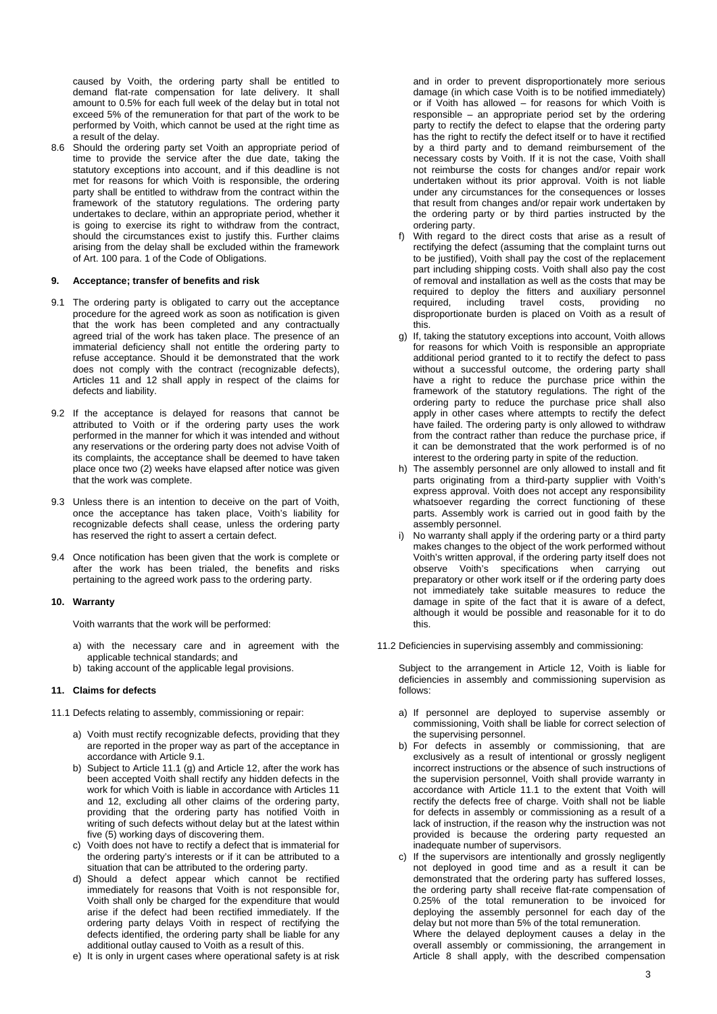caused by Voith, the ordering party shall be entitled to demand flat-rate compensation for late delivery. It shall amount to 0.5% for each full week of the delay but in total not exceed 5% of the remuneration for that part of the work to be performed by Voith, which cannot be used at the right time as a result of the delay.

8.6 Should the ordering party set Voith an appropriate period of time to provide the service after the due date, taking the statutory exceptions into account, and if this deadline is not met for reasons for which Voith is responsible, the ordering party shall be entitled to withdraw from the contract within the framework of the statutory regulations. The ordering party undertakes to declare, within an appropriate period, whether it is going to exercise its right to withdraw from the contract, should the circumstances exist to justify this. Further claims arising from the delay shall be excluded within the framework of Art. 100 para. 1 of the Code of Obligations.

#### **9. Acceptance; transfer of benefits and risk**

- 9.1 The ordering party is obligated to carry out the acceptance procedure for the agreed work as soon as notification is given that the work has been completed and any contractually agreed trial of the work has taken place. The presence of an immaterial deficiency shall not entitle the ordering party to refuse acceptance. Should it be demonstrated that the work does not comply with the contract (recognizable defects), Articles 11 and 12 shall apply in respect of the claims for defects and liability.
- 9.2 If the acceptance is delayed for reasons that cannot be attributed to Voith or if the ordering party uses the work performed in the manner for which it was intended and without any reservations or the ordering party does not advise Voith of its complaints, the acceptance shall be deemed to have taken place once two (2) weeks have elapsed after notice was given that the work was complete.
- 9.3 Unless there is an intention to deceive on the part of Voith, once the acceptance has taken place, Voith's liability for recognizable defects shall cease, unless the ordering party has reserved the right to assert a certain defect.
- 9.4 Once notification has been given that the work is complete or after the work has been trialed, the benefits and risks pertaining to the agreed work pass to the ordering party.

# **10. Warranty**

Voith warrants that the work will be performed:

- a) with the necessary care and in agreement with the applicable technical standards; and
- b) taking account of the applicable legal provisions.

# **11. Claims for defects**

11.1 Defects relating to assembly, commissioning or repair:

- a) Voith must rectify recognizable defects, providing that they are reported in the proper way as part of the acceptance in accordance with Article 9.1.
- b) Subject to Article 11.1 (g) and Article 12, after the work has been accepted Voith shall rectify any hidden defects in the work for which Voith is liable in accordance with Articles 11 and 12, excluding all other claims of the ordering party, providing that the ordering party has notified Voith in writing of such defects without delay but at the latest within five (5) working days of discovering them.
- c) Voith does not have to rectify a defect that is immaterial for the ordering party's interests or if it can be attributed to a situation that can be attributed to the ordering party.
- d) Should a defect appear which cannot be rectified immediately for reasons that Voith is not responsible for, Voith shall only be charged for the expenditure that would arise if the defect had been rectified immediately. If the ordering party delays Voith in respect of rectifying the defects identified, the ordering party shall be liable for any additional outlay caused to Voith as a result of this.
- e) It is only in urgent cases where operational safety is at risk

and in order to prevent disproportionately more serious damage (in which case Voith is to be notified immediately) or if Voith has allowed – for reasons for which Voith is responsible – an appropriate period set by the ordering party to rectify the defect to elapse that the ordering party has the right to rectify the defect itself or to have it rectified by a third party and to demand reimbursement of the necessary costs by Voith. If it is not the case, Voith shall not reimburse the costs for changes and/or repair work undertaken without its prior approval. Voith is not liable under any circumstances for the consequences or losses that result from changes and/or repair work undertaken by the ordering party or by third parties instructed by the ordering party.

- f) With regard to the direct costs that arise as a result of rectifying the defect (assuming that the complaint turns out to be justified), Voith shall pay the cost of the replacement part including shipping costs. Voith shall also pay the cost of removal and installation as well as the costs that may be required to deploy the fitters and auxiliary personnel required, including travel costs, providing no disproportionate burden is placed on Voith as a result of this.
- g) If, taking the statutory exceptions into account, Voith allows for reasons for which Voith is responsible an appropriate additional period granted to it to rectify the defect to pass without a successful outcome, the ordering party shall have a right to reduce the purchase price within the framework of the statutory regulations. The right of the ordering party to reduce the purchase price shall also apply in other cases where attempts to rectify the defect have failed. The ordering party is only allowed to withdraw from the contract rather than reduce the purchase price, if it can be demonstrated that the work performed is of no interest to the ordering party in spite of the reduction.
- h) The assembly personnel are only allowed to install and fit parts originating from a third-party supplier with Voith's express approval. Voith does not accept any responsibility whatsoever regarding the correct functioning of these parts. Assembly work is carried out in good faith by the assembly personnel.
- i) No warranty shall apply if the ordering party or a third party makes changes to the object of the work performed without Voith's written approval, if the ordering party itself does not observe Voith's specifications when carrying out preparatory or other work itself or if the ordering party does not immediately take suitable measures to reduce the damage in spite of the fact that it is aware of a defect. although it would be possible and reasonable for it to do this.
- 11.2 Deficiencies in supervising assembly and commissioning:

 Subject to the arrangement in Article 12, Voith is liable for deficiencies in assembly and commissioning supervision as follows:

- a) If personnel are deployed to supervise assembly or commissioning, Voith shall be liable for correct selection of the supervising personnel.
- b) For defects in assembly or commissioning, that are exclusively as a result of intentional or grossly negligent incorrect instructions or the absence of such instructions of the supervision personnel, Voith shall provide warranty in accordance with Article 11.1 to the extent that Voith will rectify the defects free of charge. Voith shall not be liable for defects in assembly or commissioning as a result of a lack of instruction, if the reason why the instruction was not provided is because the ordering party requested an inadequate number of supervisors.
- c) If the supervisors are intentionally and grossly negligently not deployed in good time and as a result it can be demonstrated that the ordering party has suffered losses, the ordering party shall receive flat-rate compensation of 0.25% of the total remuneration to be invoiced for deploying the assembly personnel for each day of the delay but not more than 5% of the total remuneration. Where the delayed deployment causes a delay in the overall assembly or commissioning, the arrangement in Article 8 shall apply, with the described compensation